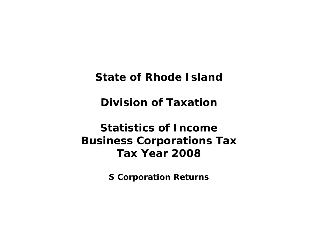**State of Rhode Island** 

**Division of Taxation** 

# **Statistics of Income Business Corporations Tax Tax Year 2008**

**S Corporation Returns**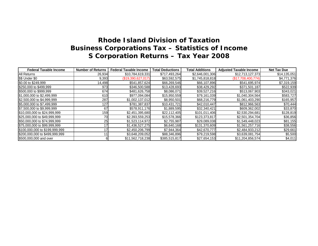| <b>Federal Taxable Income</b>  | <b>Number of Returns</b> | <b>Federal Taxable Income</b> | <b>Total Deductions</b> | <b>Total Additions</b> | <b>Adjusted Taxable Income</b> | <b>Net Tax Due</b> |
|--------------------------------|--------------------------|-------------------------------|-------------------------|------------------------|--------------------------------|--------------------|
| <b>All Returns</b>             | 26,934                   | \$10,784,619,331              | \$717,493,264           | \$2,646,001,306        | \$12,713,127,373               | \$14,135,051       |
| \$\$ Under \$0                 | 9,393                    | (\$19,390,627,017)            | \$63,592,575            | \$1,745,818,818        | (\$17,708,400,774)             | \$4,771,376        |
| \$0.00 to \$249,999            | 14,498                   | \$541,857,624                 | \$66,269,546            | \$66,107,896           | \$541,695,974                  | \$7,319,159        |
| \$250,000 to \$499,999         | 973                      | \$346,500,588                 | \$13,428,693            | \$38,429,292           | \$371,501,187                  | \$522,939          |
| \$500,000 to \$999,999         | 674                      | \$481,626,758                 | \$8,086,071             | \$39,527,216           | \$513,067,903                  | \$343,021          |
| \$1,000,000 to \$2,499,999     | 610                      | \$977,094,084                 | \$15,950,559            | \$79,161,039           | \$1,040,304,564                | \$583,727          |
| \$2,500,000 to \$4,999,999     | 287                      | \$1,002,137,012               | \$8,950,501             | \$68,216,779           | \$1,061,403,290                | \$165,957          |
| \$5,000,000 to \$7,499,999     | 127                      | \$781,387,837                 | \$10,431,721            | \$42,010,447           | \$812,966,563                  | \$70,444           |
| \$7,500,000 to \$9,999,999     | 67                       | \$578,911,176                 | \$1,889,595             | \$32,340,421           | \$609,362,002                  | \$33,870           |
| \$10,000,000 to \$24,999,999   | 159                      | \$2,451,395,680               | \$22,112,405            | \$101,011,406          | \$2,530,294,681                | \$128,819          |
| \$25,000,000 to \$49,999,999   | 70                       | \$2,393,559,253               | \$15,578,366            | \$123,373,817          | \$2,501,354,704                | \$36,856           |
| \$50,000,000 to \$74,999,999   | 25                       | \$1,523,114,972               | \$2,755,987             | \$29,089,038           | \$1,549,448,023                | \$81,155           |
| \$75,000,000 to \$99,999,999   |                          | \$1,436,527,275               | \$6,640,168             | \$131,370,609          | \$1,561,257,716                | \$38,556           |
| \$100,000,000 to \$199,999,999 |                          | \$2,450,206,799               | \$7,944,364             | \$42,670,777           | \$2,484,933,212                | \$29,661           |
| \$200,000,000 to \$499,999,999 |                          | \$3,648,209,052               | \$88,346,896            | \$79,219,598           | \$3,639,081,754                | \$5,500            |
| \$500,000,000 and over         |                          | \$11,562,718,238              | \$385,515,817           | \$27,654,153           | \$11,204,856,574               | \$4,011            |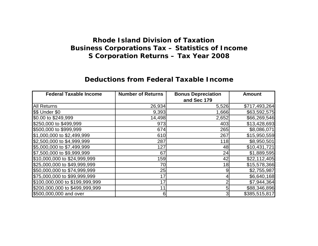#### **Deductions from Federal Taxable Income**

| <b>Federal Taxable Income</b>  | <b>Number of Returns</b> | <b>Bonus Depreciation</b> | <b>Amount</b> |
|--------------------------------|--------------------------|---------------------------|---------------|
|                                |                          | and Sec 179               |               |
| <b>All Returns</b>             | 26,934                   | 5,526                     | \$717,493,264 |
| \$\$ Under \$0                 | 9,393                    | 1,666                     | \$63,592,575  |
| \$0.00 to \$249,999            | 14,498                   | 2,652                     | \$66,269,546  |
| \$250,000 to \$499,999         | 973                      | 403                       | \$13,428,693  |
| \$500,000 to \$999,999         | 674                      | 265                       | \$8,086,071   |
| \$1,000,000 to \$2,499,999     | 610                      | 267                       | \$15,950,559  |
| \$2,500,000 to \$4,999,999     | 287                      | 118                       | \$8,950,501   |
| \$5,000,000 to \$7,499,999     | 127                      | 48                        | \$10,431,721  |
| \$7,500,000 to \$9,999,999     | 67                       | 24                        | \$1,889,595   |
| \$10,000,000 to \$24,999,999   | 159                      | 42                        | \$22,112,405  |
| \$25,000,000 to \$49,999,999   | 70                       | 18                        | \$15,578,366  |
| \$50,000,000 to \$74,999,999   | 25                       | 9                         | \$2,755,987   |
| \$75,000,000 to \$99,999,999   | 17                       |                           | \$6,640,168   |
| \$100,000,000 to \$199,999,999 | 17                       |                           | \$7,944,364   |
| \$200,000,000 to \$499,999,999 | 11                       | 5                         | \$88,346,896  |
| \$500,000,000 and over         | 6                        | 3                         | \$385,515,817 |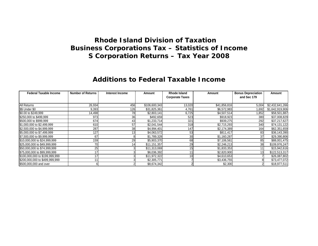#### **Additions to Federal Taxable Income**

| <b>Federal Taxable Income</b>  | <b>Number of Returns</b> | <b>Interest Income</b> | Amount        | Rhode Island           | Amount       | <b>Bonus Depreciation</b> | Amount          |
|--------------------------------|--------------------------|------------------------|---------------|------------------------|--------------|---------------------------|-----------------|
|                                |                          |                        |               | <b>Corporate Taxes</b> |              | and Sec 179               |                 |
|                                |                          |                        |               |                        |              |                           |                 |
| <b>All Returns</b>             | 26,934                   | 456                    | \$106,600,343 | 13,020                 | \$41,856,816 | 5,004                     | \$2,432,641,266 |
| \$\$ Under \$0                 | 9,393                    | 126                    | \$31,825,361  | 4,761                  | \$6,572,983  | 1,692                     | \$1,642,919,906 |
| \$0.00 to \$249,999            | 14,498                   | 78                     | \$2,803,141   | 6,725                  | \$4,507,514  | 1,852                     | \$58,501,887    |
| \$250,000 to \$499,999         | 973                      | 36                     | \$492,659     | 523                    | \$918,923    | 380                       | \$37,008,829    |
| \$500,000 to \$999,999         | 674                      | 43                     | \$1,233,714   | 321                    | \$939,275    | 292                       | \$37,217,627    |
| \$1,000,000 to \$2,499,999     | 610                      | 57                     | \$2,041,544   | 318                    | \$2,715,293  | 340                       | \$74,131,122    |
| \$2,500,000 to \$4,999,999     | 287                      | 38                     | \$4,994,401   | 147                    | \$2,174,389  | 164                       | \$62,351,659    |
| \$5,000,000 to \$7,499,999     | 127                      |                        | \$4,063,572   | 53                     | \$811,417    | 83                        | \$36,143,390    |
| \$7,500,000 to \$9,999,999     | 67                       |                        | \$1,789,328   | 30                     | \$1,160,287  | 37                        | \$29,390,806    |
| \$10,000,000 to \$24,999,999   | 159                      | 29                     | \$5,903,370   | 68                     | \$7,106,561  | 85                        | \$88,001,475    |
| \$25,000,000 to \$49,999,999   | 70                       |                        | \$11,151,357  | 29                     | \$2,246,213  | 38                        | \$109,976,247   |
| \$50,000,000 to \$74,999,999   | 25                       |                        | \$11,313,069  |                        | \$1,833,353  |                           | \$15,942,616    |
| \$75,000,000 to \$99,999,999   |                          |                        | \$6,036,392   |                        | \$2,820,900  | 13                        | \$122,513,317   |
| \$100,000,000 to \$199,999,999 |                          |                        | \$11,972,322  |                        | \$4,610,653  |                           | \$26,087,802    |
| \$200,000,000 to \$499,999,999 |                          |                        | \$2,305,771   |                        | \$3,436,755  |                           | \$73,477,072    |
| \$500,000,000 and over         |                          |                        | \$8,674,342   |                        | \$2,300      |                           | \$18,977,511    |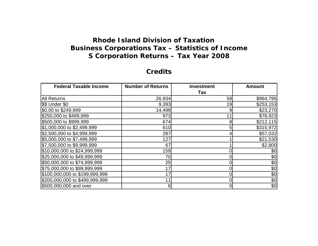#### **Credits**

| <b>Federal Taxable Income</b>  | <b>Number of Returns</b> | <b>Investment</b> | <b>Amount</b> |
|--------------------------------|--------------------------|-------------------|---------------|
|                                |                          | Tax               |               |
| <b>All Returns</b>             | 26,934                   | 58                | \$964,795     |
| \$\$ Under \$0                 | 9,393                    | 19                | \$253,153     |
| \$0.00 to \$249,999            | 14,498                   | 9                 | \$23,270      |
| \$250,000 to \$499,999         | 973                      |                   | \$78,923      |
| \$500,000 to \$999,999         | 674                      | 8                 | \$212,115     |
| \$1,000,000 to \$2,499,999     | 610                      | 5                 | \$315,972     |
| \$2,500,000 to \$4,999,999     | 287                      |                   | \$57,032      |
| \$5,000,000 to \$7,499,999     | 127                      |                   | \$21,530      |
| \$7,500,000 to \$9,999,999     | 67                       |                   | \$2,800       |
| \$10,000,000 to \$24,999,999   | 159                      |                   | \$0           |
| \$25,000,000 to \$49,999,999   | 70                       |                   | \$0           |
| \$50,000,000 to \$74,999,999   | 25                       | 0                 | \$0           |
| \$75,000,000 to \$99,999,999   | 17                       | 0                 | \$0           |
| \$100,000,000 to \$199,999,999 | 17                       |                   | \$0           |
| \$200,000,000 to \$499,999,999 | 11                       |                   | \$0           |
| \$500,000,000 and over         | 6                        |                   | \$0           |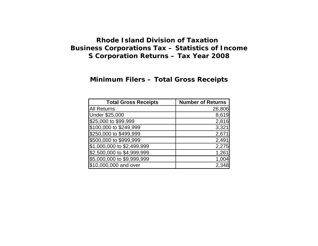#### **Minimum Filers – Total Gross Receipts**

| <b>Total Gross Receipts</b> | <b>Number of Returns</b> |
|-----------------------------|--------------------------|
| <b>All Returns</b>          | 26,806                   |
| <b>Under \$25,000</b>       | 8,619                    |
| \$25,000 to \$99,999        | 2,816                    |
| \$100,000 to \$249,999      | 3,321                    |
| \$250,000 to \$499,999      | 2,671                    |
| \$500,000 to \$999,999      | 2,491                    |
| \$1,000,000 to \$2,499,999  | 2,275                    |
| \$2,500,000 to \$4,999,999  | 1,261                    |
| \$5,000,000 to \$9,999,999  | 1,004                    |
| \$10,000,000 and over       | 2,348                    |